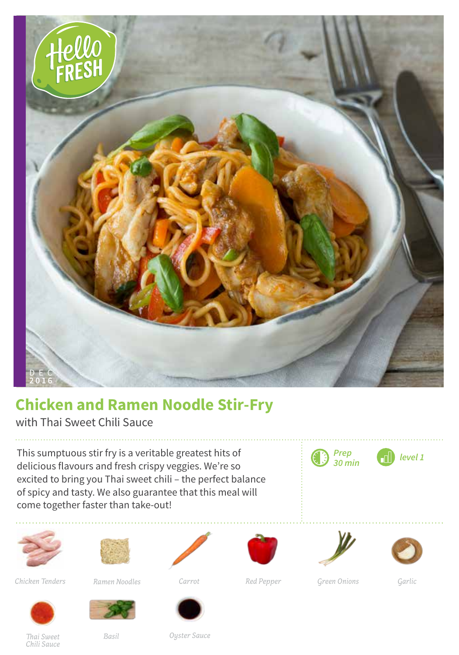

## **Chicken and Ramen Noodle Stir-Fry**

with Thai Sweet Chili Sauce

This sumptuous stir fry is a veritable greatest hits of delicious flavours and fresh crispy veggies. We're so excited to bring you Thai sweet chili – the perfect balance of spicy and tasty. We also guarantee that this meal will come together faster than take-out!





*Chicken Tenders Carrot Red Pepper Green Onions Garlic*

*Ramen Noodles*









*Prep 30 min level 1*







*Thai Sweet Chili Sauce*

*Basil*

*Oyster Sauce*